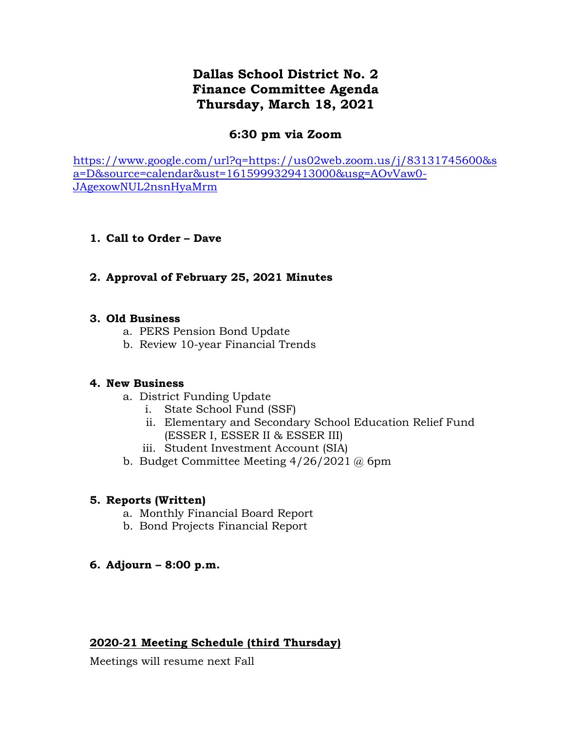# **Dallas School District No. 2 Finance Committee Agenda Thursday, March 18, 2021**

## **6:30 pm via Zoom**

[https://www.google.com/url?q=https://us02web.zoom.us/j/83131745600&s](https://www.google.com/url?q=https://us02web.zoom.us/j/83131745600&sa=D&source=calendar&ust=1615999329413000&usg=AOvVaw0-JAgexowNUL2nsnHyaMrm) [a=D&source=calendar&ust=1615999329413000&usg=AOvVaw0-](https://www.google.com/url?q=https://us02web.zoom.us/j/83131745600&sa=D&source=calendar&ust=1615999329413000&usg=AOvVaw0-JAgexowNUL2nsnHyaMrm) [JAgexowNUL2nsnHyaMrm](https://www.google.com/url?q=https://us02web.zoom.us/j/83131745600&sa=D&source=calendar&ust=1615999329413000&usg=AOvVaw0-JAgexowNUL2nsnHyaMrm)

## **1. Call to Order – Dave**

## **2. Approval of February 25, 2021 Minutes**

## **3. Old Business**

- a. PERS Pension Bond Update
- b. Review 10-year Financial Trends

## **4. New Business**

- a. District Funding Update
	- i. State School Fund (SSF)
	- ii. Elementary and Secondary School Education Relief Fund (ESSER I, ESSER II & ESSER III)
	- iii. Student Investment Account (SIA)
- b. Budget Committee Meeting 4/26/2021 @ 6pm

## **5. Reports (Written)**

- a. Monthly Financial Board Report
- b. Bond Projects Financial Report

## **6. Adjourn – 8:00 p.m.**

## **2020-21 Meeting Schedule (third Thursday)**

Meetings will resume next Fall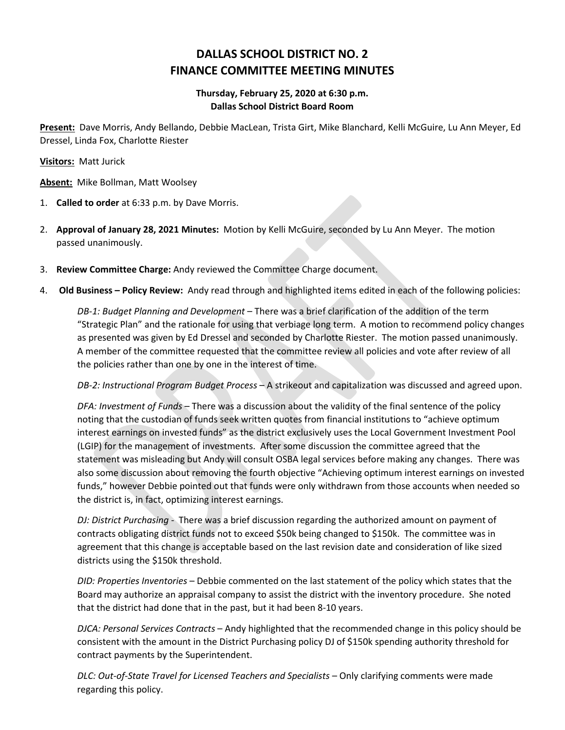## **DALLAS SCHOOL DISTRICT NO. 2 FINANCE COMMITTEE MEETING MINUTES**

### **Thursday, February 25, 2020 at 6:30 p.m. Dallas School District Board Room**

**Present:** Dave Morris, Andy Bellando, Debbie MacLean, Trista Girt, Mike Blanchard, Kelli McGuire, Lu Ann Meyer, Ed Dressel, Linda Fox, Charlotte Riester

**Visitors:** Matt Jurick

**Absent:** Mike Bollman, Matt Woolsey

- 1. **Called to order** at 6:33 p.m. by Dave Morris.
- 2. **Approval of January 28, 2021 Minutes:** Motion by Kelli McGuire, seconded by Lu Ann Meyer. The motion passed unanimously.
- 3. **Review Committee Charge:** Andy reviewed the Committee Charge document.
- 4. **Old Business – Policy Review:** Andy read through and highlighted items edited in each of the following policies:

*DB-1: Budget Planning and Development* – There was a brief clarification of the addition of the term "Strategic Plan" and the rationale for using that verbiage long term. A motion to recommend policy changes as presented was given by Ed Dressel and seconded by Charlotte Riester. The motion passed unanimously. A member of the committee requested that the committee review all policies and vote after review of all the policies rather than one by one in the interest of time.

*DB-2: Instructional Program Budget Process* – A strikeout and capitalization was discussed and agreed upon.

*DFA: Investment of Funds* – There was a discussion about the validity of the final sentence of the policy noting that the custodian of funds seek written quotes from financial institutions to "achieve optimum interest earnings on invested funds" as the district exclusively uses the Local Government Investment Pool (LGIP) for the management of investments. After some discussion the committee agreed that the statement was misleading but Andy will consult OSBA legal services before making any changes. There was also some discussion about removing the fourth objective "Achieving optimum interest earnings on invested funds," however Debbie pointed out that funds were only withdrawn from those accounts when needed so the district is, in fact, optimizing interest earnings.

*DJ: District Purchasing* - There was a brief discussion regarding the authorized amount on payment of contracts obligating district funds not to exceed \$50k being changed to \$150k. The committee was in agreement that this change is acceptable based on the last revision date and consideration of like sized districts using the \$150k threshold.

*DID: Properties Inventories* – Debbie commented on the last statement of the policy which states that the Board may authorize an appraisal company to assist the district with the inventory procedure. She noted that the district had done that in the past, but it had been 8-10 years.

*DJCA: Personal Services Contracts* – Andy highlighted that the recommended change in this policy should be consistent with the amount in the District Purchasing policy DJ of \$150k spending authority threshold for contract payments by the Superintendent.

*DLC: Out-of-State Travel for Licensed Teachers and Specialists* – Only clarifying comments were made regarding this policy.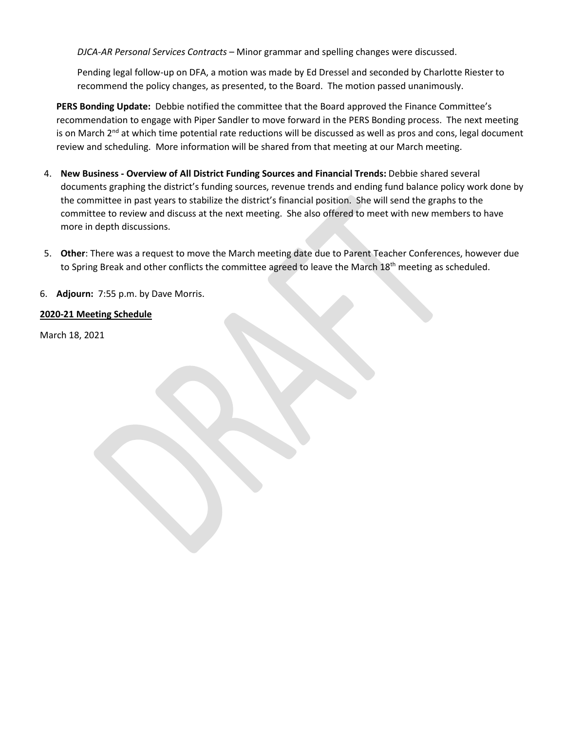*DJCA-AR Personal Services Contracts* – Minor grammar and spelling changes were discussed.

Pending legal follow-up on DFA, a motion was made by Ed Dressel and seconded by Charlotte Riester to recommend the policy changes, as presented, to the Board. The motion passed unanimously.

**PERS Bonding Update:** Debbie notified the committee that the Board approved the Finance Committee's recommendation to engage with Piper Sandler to move forward in the PERS Bonding process. The next meeting is on March  $2^{nd}$  at which time potential rate reductions will be discussed as well as pros and cons, legal document review and scheduling. More information will be shared from that meeting at our March meeting.

- 4. **New Business - Overview of All District Funding Sources and Financial Trends:** Debbie shared several documents graphing the district's funding sources, revenue trends and ending fund balance policy work done by the committee in past years to stabilize the district's financial position. She will send the graphs to the committee to review and discuss at the next meeting. She also offered to meet with new members to have more in depth discussions.
- 5. **Other**: There was a request to move the March meeting date due to Parent Teacher Conferences, however due to Spring Break and other conflicts the committee agreed to leave the March  $18<sup>th</sup>$  meeting as scheduled.

6. **Adjourn:** 7:55 p.m. by Dave Morris.

### **2020-21 Meeting Schedule**

March 18, 2021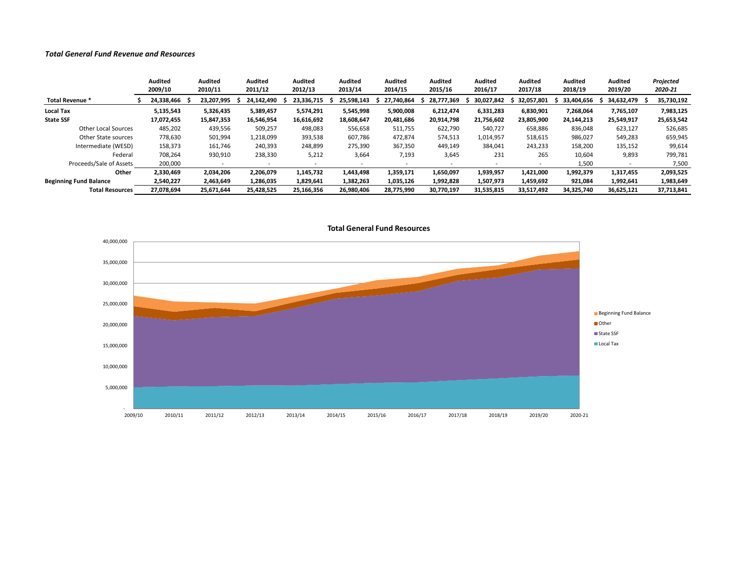#### *Total General Fund Revenue and Resources*

|                               | Audited<br>2009/10 | <b>Audited</b><br>2010/11 | Audited<br>2011/12 | Audited<br>2012/13 | Audited<br>2013/14 | Audited<br>2014/15 | Audited<br>2015/16       | <b>Audited</b><br>2016/17 | Audited<br>2017/18       | <b>Audited</b><br>2018/19 | Audited<br>2019/20 | Projected<br>2020-21 |
|-------------------------------|--------------------|---------------------------|--------------------|--------------------|--------------------|--------------------|--------------------------|---------------------------|--------------------------|---------------------------|--------------------|----------------------|
| Total Revenue *               | 24,338,466         | 23,207,995                | 24,142,490         | 23.336.715         | 25.598.143         | 27.740.864         | 28.777.369               | 30.027.842                | 32.057.801               | 33.404.656                | 34.632.479         | 35,730,192           |
| Local Tax                     | 5,135,543          | 5,326,435                 | 5,389,457          | 5,574,291          | 5,545,998          | 5,900,008          | 6,212,474                | 6,331,283                 | 6,830,901                | 7,268,064                 | 7,765,107          | 7,983,125            |
| <b>State SSF</b>              | 17.072.455         | 15,847,353                | 16.546.954         | 16,616,692         | 18,608,647         | 20,481,686         | 20.914.798               | 21,756,602                | 23,805,900               | 24.144.213                | 25,549,917         | 25,653,542           |
| <b>Other Local Sources</b>    | 485,202            | 439,556                   | 509,257            | 498,083            | 556,658            | 511,755            | 622,790                  | 540,727                   | 658,886                  | 836,048                   | 623,127            | 526,685              |
| Other State sources           | 778,630            | 501,994                   | 1,218,099          | 393,538            | 607,786            | 472,874            | 574,513                  | 1,014,957                 | 518,615                  | 986,027                   | 549,283            | 659,945              |
| Intermediate (WESD)           | 158,373            | 161,746                   | 240,393            | 248,899            | 275,390            | 367,350            | 449,149                  | 384,041                   | 243,233                  | 158,200                   | 135,152            | 99,614               |
| Federal                       | 708,264            | 930,910                   | 238,330            | 5,212              | 3,664              | 7,193              | 3,645                    | 231                       | 265                      | 10,604                    | 9,893              | 799,781              |
| Proceeds/Sale of Assets       | 200,000            |                           | $\sim$             |                    |                    |                    | $\overline{\phantom{a}}$ |                           | $\overline{\phantom{a}}$ | 1,500                     |                    | 7,500                |
| Other                         | 2,330,469          | 2,034,206                 | 2,206,079          | 1,145,732          | 1,443,498          | 1,359,171          | 1.650.097                | 1,939,957                 | 1,421,000                | 1,992,379                 | 1,317,455          | 2,093,525            |
| <b>Beginning Fund Balance</b> | 2,540,227          | 2,463,649                 | 1.286.035          | 1,829,641          | 1,382,263          | 1,035,126          | 1,992,828                | 1,507,973                 | 1,459,692                | 921,084                   | 1,992,641          | 1,983,649            |
| <b>Total Resources</b>        | 27,078,694         | 25,671,644                | 25,428,525         | 25,166,356         | 26,980,406         | 28,775,990         | 30,770,197               | 31,535,815                | 33,517,492               | 34,325,740                | 36,625,121         | 37,713,841           |



**Total General Fund Resources**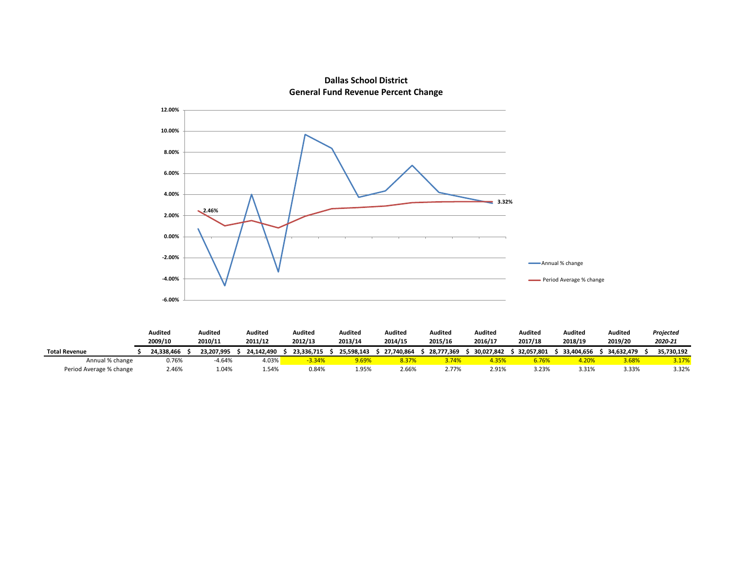

### **Dallas School District General Fund Revenue Percent Change**

|                         | Audited    | Audited    | Audited    | Audited    | Audited    | Audited    | Audited    | Audited    | Auditec    | <b>Audited</b> | Auditeo    | Projected  |
|-------------------------|------------|------------|------------|------------|------------|------------|------------|------------|------------|----------------|------------|------------|
|                         | 2009/10    | 2010/11    | 2011/12    | 2012/13    | 2013/14    | 2014/15    | 2015/16    | 2016/17    | 2017/18    | 2018/19        | 2019/20    | 2020-21    |
| <b>Total Revenue</b>    | 24.338.466 | 23.207.995 | 24.142.490 | 23.336.715 | 25.598.143 | 27.740.864 | 28.777.369 | 30.027.842 | 32.057.801 | 33.404.656     | 34.632.479 | 35.730.192 |
| Annual % change         | 0.76%      | $-4.64%$   | 4.03%      | $-3.34%$   | 9.69%      | 8.37%      | 3.74%      | 4.35%      | 6.76%      |                | 3.68%      | 3.17%      |
| Period Average % change | 2.46%      | .04%       | 1.54%      | 0.84%      | 1.95%      | 2.66%      | 2.77%      | 2.91%      | 3.23%      | 3.31%          | 3.33%      | 3.32%      |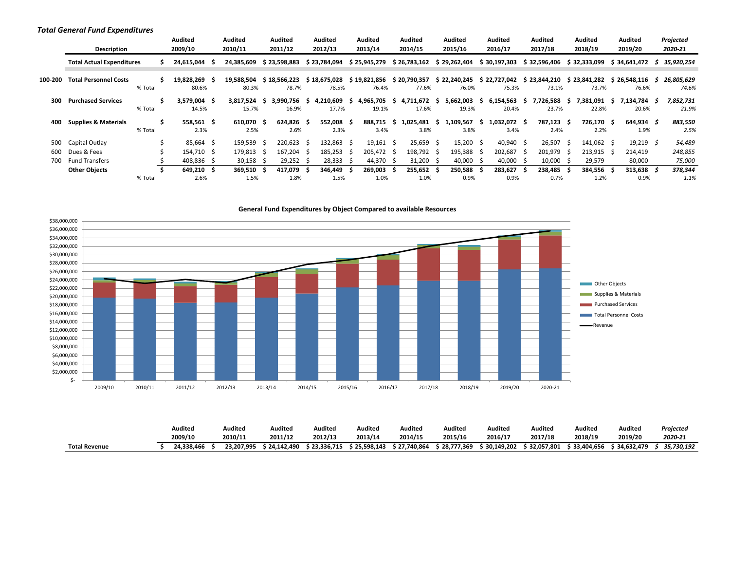#### *Total General Fund Expenditures*

|         | Description                      |         | <b>Audited</b><br>2009/10 | Audited<br>2010/11  |                          | Audited<br>2011/12    |     | Audited<br>2012/13    |     | Audited<br>2013/14    |     | Audited<br>2014/15    |          | Audited<br>2015/16    |                          | Audited<br>2016/17    |     | Audited<br>2017/18    |     | <b>Audited</b><br>2018/19 |    | Audited<br>2019/20    | Projected<br>2020-21 |
|---------|----------------------------------|---------|---------------------------|---------------------|--------------------------|-----------------------|-----|-----------------------|-----|-----------------------|-----|-----------------------|----------|-----------------------|--------------------------|-----------------------|-----|-----------------------|-----|---------------------------|----|-----------------------|----------------------|
|         | <b>Total Actual Expenditures</b> |         | 24,615,044 \$             | 24,385,609          |                          | \$23,598,883          |     | \$23,784,094          |     | \$25,945,279          |     | \$26,783,162          |          | \$29,262,404          |                          | \$30,197,303          |     | \$32,596,406          |     | \$32,333,099              |    | \$34,641,472          | \$35,920,254         |
| 100-200 | <b>Total Personnel Costs</b>     | % Total | 19,828,269 \$<br>80.6%    | 19,588,504<br>80.3% |                          | \$18.566.223<br>78.7% |     | \$18,675,028<br>78.5% |     | \$19,821,856<br>76.4% |     | \$20,790,357<br>77.6% |          | \$22,240,245<br>76.0% |                          | \$22,727,042<br>75.3% |     | \$23,844,210<br>73.1% |     | \$23,841,282<br>73.7%     |    | \$26,548,116<br>76.6% | 26,805,629<br>74.6%  |
| 300     | <b>Purchased Services</b>        | % Total | 3,579,004 \$<br>14.5%     | 3,817,524<br>15.7%  | 5                        | 3.990.756 \$<br>16.9% |     | 4,210,609<br>17.7%    | -S  | 4,965,705<br>19.1%    | S.  | 4,711,672<br>17.6%    | -S       | 5,662,003<br>19.3%    | -5                       | 6,154,563<br>20.4%    | s.  | 7,726,588<br>23.7%    | -S  | 7,381,091<br>22.8%        | -5 | 7.134.784 \$<br>20.6% | 7,852,731<br>21.9%   |
| 400     | <b>Supplies &amp; Materials</b>  | % Total | 558.561 \$<br>2.3%        | 610.070<br>2.5%     | - S                      | 624.826 \$<br>2.6%    |     | 552.008 \$<br>2.3%    |     | 888.715<br>3.4%       | -S  | 1.025.481<br>3.8%     | -S.      | 1.109.567<br>3.8%     | S.                       | 1.032.072 \$<br>3.4%  |     | 787.123<br>2.4%       | - S | 726.170 \$<br>2.2%        |    | 644.934 \$<br>1.9%    | 883,550<br>2.5%      |
| 500     | Capital Outlay                   |         | 85,664 \$                 | 159.539             | ∫ S                      | 220.623               | - S | 132.863 \$            |     | 19,161                | - Ś | 25,659                | -S       | 15,200                | -Ś                       | 40,940                | - Ś | 26,507                |     | 141.062 \$                |    | 19,219 $\zeta$        | 54,489               |
| 600     | Dues & Fees                      |         | 154.710 \$                | 179,813             | $\overline{\phantom{a}}$ | 167.204               | - S | 185,253               | - S | 205,472 \$            |     | 198,792               | -5       | 195,388               | $\overline{\phantom{a}}$ | 202,687               |     | 201,979               |     | 213,915 \$                |    | 214,419               | 248,855              |
| 700     | <b>Fund Transfers</b>            |         | 408,836 \$                | $30,158$ \$         |                          | 29,252                |     | 28,333                | - S | 44,370                | -S  | 31,200                | <u>ь</u> | 40,000                | -5                       | 40,000                |     | 10,000                |     | 29,579                    |    | 80,000                | 75,000               |
|         | <b>Other Objects</b>             |         | 649.210 \$                | 369.510             |                          | 417.079               | - S | 346.449               |     | 269.003               | -S  | 255.652               |          | 250,588               |                          | 283.627               |     | 238,485               |     | 384.556                   |    | 313.638               | 378,344              |
|         |                                  | % Total | 2.6%                      | 1.5%                |                          | 1.8%                  |     | 1.5%                  |     | 1.0%                  |     | 1.0%                  |          | 0.9%                  |                          | 0.9%                  |     | 0.7%                  |     | 1.2%                      |    | 0.9%                  | 1.1%                 |



|                      | Audited    | Audited    | Audited      | Audited    | Audited      | Audited      | Auditec      | Auditeo    | Audited      | Audited      | Audited             | Projectea  |
|----------------------|------------|------------|--------------|------------|--------------|--------------|--------------|------------|--------------|--------------|---------------------|------------|
|                      | 2009/10    | 2010/11    | 2011/12      | 2012/13    | 2013/14      | 2014/15      | 2015/16      | 2016/17    | 2017/18      | 2018/19      | 2019/20             | 2020-21    |
| <b>Total Revenue</b> | 24.338.466 | 23.207.995 | \$24.142.490 | 23,336,715 | \$25.598.143 | \$27,740,864 | \$28,777,369 | 30,149,202 | \$32,057,801 | \$33,404,656 | <b>` 34.632.479</b> | 35,730,192 |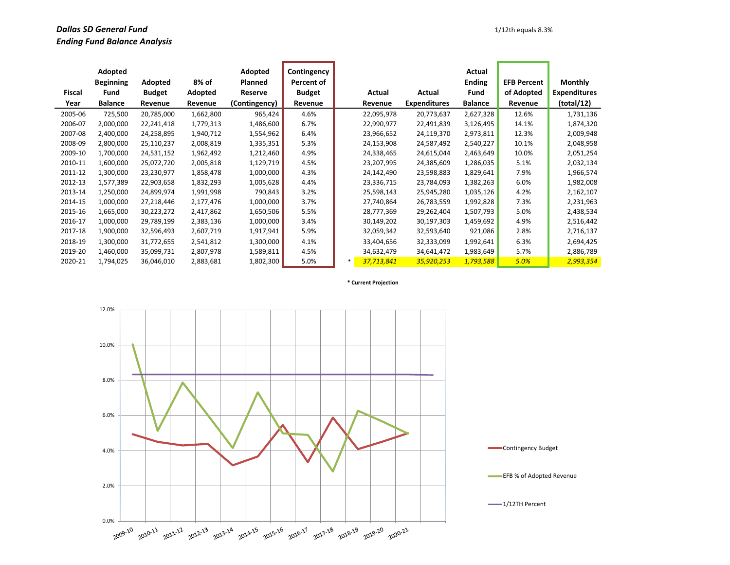### **Dallas SD General Fund** 1/12th equals 8.3% *Ending Fund Balance Analysis*

|         | Adopted<br><b>Beginning</b> | Adopted       | 8% of     | Adopted<br>Planned | Contingency<br>Percent of |        |            |                     | Actual<br><b>Ending</b> | <b>EFB Percent</b> | <b>Monthly</b>      |
|---------|-----------------------------|---------------|-----------|--------------------|---------------------------|--------|------------|---------------------|-------------------------|--------------------|---------------------|
| Fiscal  | Fund                        | <b>Budget</b> | Adopted   | Reserve            | <b>Budget</b>             |        | Actual     | Actual              | Fund                    | of Adopted         | <b>Expenditures</b> |
| Year    | <b>Balance</b>              | Revenue       | Revenue   | (Contingency)      | Revenue                   |        | Revenue    | <b>Expenditures</b> | <b>Balance</b>          | Revenue            | (total/12)          |
| 2005-06 | 725,500                     | 20,785,000    | 1,662,800 | 965,424            | 4.6%                      |        | 22,095,978 | 20,773,637          | 2,627,328               | 12.6%              | 1,731,136           |
| 2006-07 | 2,000,000                   | 22,241,418    | 1,779,313 | 1,486,600          | 6.7%                      |        | 22,990,977 | 22,491,839          | 3,126,495               | 14.1%              | 1,874,320           |
| 2007-08 | 2,400,000                   | 24,258,895    | 1,940,712 | 1,554,962          | 6.4%                      |        | 23,966,652 | 24,119,370          | 2,973,811               | 12.3%              | 2,009,948           |
| 2008-09 | 2,800,000                   | 25,110,237    | 2,008,819 | 1,335,351          | 5.3%                      |        | 24,153,908 | 24,587,492          | 2,540,227               | 10.1%              | 2,048,958           |
| 2009-10 | 1,700,000                   | 24,531,152    | 1,962,492 | 1,212,460          | 4.9%                      |        | 24,338,465 | 24,615,044          | 2,463,649               | 10.0%              | 2,051,254           |
| 2010-11 | 1,600,000                   | 25,072,720    | 2,005,818 | 1,129,719          | 4.5%                      |        | 23,207,995 | 24,385,609          | 1,286,035               | 5.1%               | 2,032,134           |
| 2011-12 | 1,300,000                   | 23,230,977    | 1,858,478 | 1,000,000          | 4.3%                      |        | 24,142,490 | 23,598,883          | 1,829,641               | 7.9%               | 1,966,574           |
| 2012-13 | 1,577,389                   | 22,903,658    | 1,832,293 | 1,005,628          | 4.4%                      |        | 23,336,715 | 23,784,093          | 1,382,263               | 6.0%               | 1,982,008           |
| 2013-14 | 1,250,000                   | 24,899,974    | 1,991,998 | 790,843            | 3.2%                      |        | 25,598,143 | 25,945,280          | 1,035,126               | 4.2%               | 2,162,107           |
| 2014-15 | 1,000,000                   | 27,218,446    | 2,177,476 | 1,000,000          | 3.7%                      |        | 27,740,864 | 26,783,559          | 1,992,828               | 7.3%               | 2,231,963           |
| 2015-16 | 1,665,000                   | 30,223,272    | 2,417,862 | 1,650,506          | 5.5%                      |        | 28,777,369 | 29,262,404          | 1,507,793               | 5.0%               | 2,438,534           |
| 2016-17 | 1,000,000                   | 29,789,199    | 2,383,136 | 1,000,000          | 3.4%                      |        | 30,149,202 | 30,197,303          | 1,459,692               | 4.9%               | 2,516,442           |
| 2017-18 | 1,900,000                   | 32,596,493    | 2,607,719 | 1,917,941          | 5.9%                      |        | 32,059,342 | 32,593,640          | 921,086                 | 2.8%               | 2,716,137           |
| 2018-19 | 1,300,000                   | 31,772,655    | 2,541,812 | 1,300,000          | 4.1%                      |        | 33,404,656 | 32,333,099          | 1,992,641               | 6.3%               | 2,694,425           |
| 2019-20 | 1,460,000                   | 35,099,731    | 2,807,978 | 1,589,811          | 4.5%                      |        | 34,632,479 | 34,641,472          | 1,983,649               | 5.7%               | 2,886,789           |
| 2020-21 | 1,794,025                   | 36,046,010    | 2,883,681 | 1,802,300          | 5.0%                      | $\ast$ | 37,713,841 | 35,920,253          | 1,793,588               | 5.0%               | 2,993,354           |

**\* Current Projection**

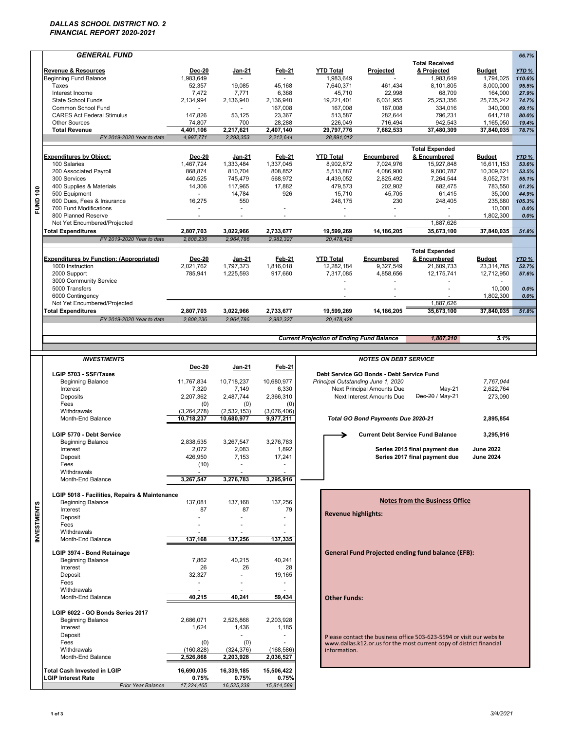#### *DALLAS SCHOOL DISTRICT NO. 2 FINANCIAL REPORT 2020-2021*

|                    | <b>GENERAL FUND</b>                               |                        |                        |                          |                                                  |                                           |                                                                      |                   | 66.7%           |
|--------------------|---------------------------------------------------|------------------------|------------------------|--------------------------|--------------------------------------------------|-------------------------------------------|----------------------------------------------------------------------|-------------------|-----------------|
|                    |                                                   |                        |                        |                          |                                                  |                                           | <b>Total Received</b>                                                |                   |                 |
|                    | <b>Revenue &amp; Resources</b>                    | <b>Dec-20</b>          | Jan-21                 | Feb-21                   | <b>YTD Total</b>                                 | Projected                                 | & Projected                                                          | <b>Budget</b>     | YTD%            |
|                    | <b>Beginning Fund Balance</b>                     | 1,983,649              |                        |                          | 1,983,649                                        |                                           | 1,983,649                                                            | 1,794,025         | 110.6%          |
|                    | Taxes                                             | 52,357                 | 19,085                 | 45,168                   | 7,640,371                                        | 461,434                                   | 8,101,805                                                            | 8,000,000         | 95.5%           |
|                    | Interest Income                                   | 7,472                  | 7,771                  | 6,368                    | 45,710                                           | 22,998                                    | 68,709                                                               | 164,000           | 27.9%           |
|                    | State School Funds                                | 2,134,994              | 2,136,940              | 2,136,940                | 19,221,401                                       | 6,031,955                                 | 25,253,356                                                           | 25,735,242        | 74.7%           |
|                    | Common School Fund                                |                        |                        | 167,008                  | 167,008                                          | 167,008                                   | 334,016                                                              | 340,000           | 49.1%           |
|                    | <b>CARES Act Federal Stimulus</b>                 | 147,826                | 53,125                 | 23,367                   | 513,587                                          | 282,644                                   | 796,231                                                              | 641,718           | 80.0%           |
|                    | <b>Other Sources</b>                              | 74,807                 | 700                    | 28,288                   | 226,049                                          | 716,494                                   | 942,543                                                              | 1,165,050         | 19.4%<br>78.7%  |
|                    | <b>Total Revenue</b><br>FY 2019-2020 Year to date | 4,401,106<br>4,997,771 | 2,217,621<br>2,293,353 | 2,407,140<br>2,212,644   | 29,797,776<br>28,891,012                         | 7,682,533                                 | 37,480,309                                                           | 37,840,035        |                 |
|                    |                                                   |                        |                        |                          |                                                  |                                           |                                                                      |                   |                 |
|                    |                                                   |                        |                        |                          |                                                  |                                           | <b>Total Expended</b>                                                |                   |                 |
|                    | <b>Expenditures by Object:</b>                    | <b>Dec-20</b>          | Jan-21                 | Feb-21                   | <b>YTD Total</b>                                 | Encumbered                                | & Encumbered                                                         | <b>Budget</b>     | YTD %           |
|                    | 100 Salaries                                      | 1,467,724              | 1,333,484              | 1,337,045                | 8,902,872                                        | 7,024,976                                 | 15,927,848                                                           | 16,611,153        | 53.6%           |
|                    | 200 Associated Payroll                            | 868,874                | 810,704                | 808,852                  | 5,513,887                                        | 4,086,900                                 | 9,600,787                                                            | 10,309,621        | 53.5%           |
|                    | 300 Services                                      | 440,525                | 745,479                | 568,972                  | 4,439,052                                        | 2,825,492                                 | 7,264,544                                                            | 8.052.731         | 55.1%           |
|                    | 400 Supplies & Materials                          | 14,306                 | 117,965                | 17,882                   | 479,573                                          | 202,902                                   | 682,475                                                              | 783,550           | 61.2%           |
|                    | 500 Equipment<br>600 Dues, Fees & Insurance       | 16,275                 | 14,784<br>550          | 926                      | 15,710<br>248,175                                | 45,705<br>230                             | 61,415<br>248,405                                                    | 35,000<br>235,680 | 44.9%<br>105.3% |
| <b>FUND 100</b>    | 700 Fund Modifications                            |                        |                        |                          |                                                  |                                           |                                                                      | 10,000            | 0.0%            |
|                    | 800 Planned Reserve                               | $\blacksquare$         | $\blacksquare$         | $\overline{\phantom{a}}$ | $\blacksquare$                                   |                                           |                                                                      | 1,802,300         | 0.0%            |
|                    | Not Yet Encumbered/Projected                      |                        |                        |                          |                                                  |                                           | 1,887,626                                                            |                   |                 |
|                    | <b>Total Expenditures</b>                         | 2,807,703              | 3,022,966              | 2,733,677                | 19,599,269                                       | 14,186,205                                | 35,673,100                                                           | 37,840,035        | 51.8%           |
|                    | FY 2019-2020 Year to date                         | 2,808,236              | 2,964,786              | 2.982.327                | 20,478,428                                       |                                           |                                                                      |                   |                 |
|                    |                                                   |                        |                        |                          |                                                  |                                           |                                                                      |                   |                 |
|                    |                                                   |                        |                        |                          |                                                  |                                           | <b>Total Expended</b>                                                |                   |                 |
|                    | <b>Expenditures by Function: (Appropriated)</b>   | <b>Dec-20</b>          | Jan-21                 | Feb-21                   | <b>YTD Total</b>                                 | Encumbered                                | & Encumbered                                                         | <b>Budget</b>     | YTD%            |
|                    | 1000 Instruction                                  | 2,021,762              | 1,797,373              | 1,816,018                | 12,282,184                                       | 9,327,549                                 | 21,609,733                                                           | 23.314.785        | 52.7%           |
|                    | 2000 Support                                      | 785,941                | 1,225,593              | 917,660                  | 7,317,085                                        | 4,858,656                                 | 12,175,741                                                           | 12,712,950        | 57.6%           |
|                    | 3000 Community Service<br>5000 Transfers          |                        |                        |                          |                                                  |                                           |                                                                      | $\sim$<br>10,000  | 0.0%            |
|                    | 6000 Contingency                                  |                        |                        |                          |                                                  |                                           |                                                                      | 1,802,300         | 0.0%            |
|                    | Not Yet Encumbered/Projected                      |                        |                        |                          |                                                  |                                           | 1,887,626                                                            |                   |                 |
|                    | <b>Total Expenditures</b>                         | 2,807,703              | 3,022,966              | 2,733,677                | 19,599,269                                       | 14,186,205                                | 35,673,100                                                           | 37,840,035        | 51.8%           |
|                    | FY 2019-2020 Year to date                         | 2,808,236              | 2,964,786              | 2,982,327                | 20,478,428                                       |                                           |                                                                      |                   |                 |
|                    |                                                   |                        |                        |                          |                                                  |                                           |                                                                      |                   |                 |
|                    |                                                   |                        |                        |                          |                                                  |                                           |                                                                      |                   |                 |
|                    |                                                   |                        |                        |                          | <b>Current Projection of Ending Fund Balance</b> |                                           | 1,807,210                                                            | 5.1%              |                 |
|                    |                                                   |                        |                        |                          |                                                  |                                           |                                                                      |                   |                 |
|                    | <b>INVESTMENTS</b>                                |                        |                        |                          |                                                  | <b>NOTES ON DEBT SERVICE</b>              |                                                                      |                   |                 |
|                    |                                                   | <b>Dec-20</b>          | Jan-21                 | Feb-21                   |                                                  |                                           |                                                                      |                   |                 |
|                    |                                                   |                        |                        |                          |                                                  |                                           |                                                                      |                   |                 |
|                    | LGIP 5703 - SSF/Taxes                             |                        |                        |                          |                                                  | Debt Service GO Bonds - Debt Service Fund |                                                                      |                   |                 |
|                    | <b>Beginning Balance</b>                          | 11,767,834             | 10,718,237             | 10,680,977               | Principal Outstanding June 1, 2020               |                                           |                                                                      | 7,767,044         |                 |
|                    | Interest                                          | 7,320                  | 7,149                  | 6,330                    |                                                  | Next Principal Amounts Due                | $May-21$                                                             | 2,622,764         |                 |
|                    | Deposits                                          | 2,207,362              | 2,487,744              | 2,366,310                |                                                  | Next Interest Amounts Due                 | Dec-20 / May-21                                                      | 273,090           |                 |
|                    | Fees                                              | (0)                    | (0)                    | (0)                      |                                                  |                                           |                                                                      |                   |                 |
|                    | Withdrawals                                       | (3,264,278)            | (2,532,153)            | (3.076.406)              |                                                  |                                           |                                                                      |                   |                 |
|                    | Month-End Balance                                 | 10,718,237             | 10,680,977             | 9,977,211                |                                                  | Total GO Bond Payments Due 2020-21        |                                                                      | 2,895,854         |                 |
|                    |                                                   |                        |                        |                          |                                                  |                                           |                                                                      |                   |                 |
|                    | LGIP 5770 - Debt Service                          |                        |                        |                          |                                                  |                                           | <b>Current Debt Service Fund Balance</b>                             | 3,295,916         |                 |
|                    | <b>Beginning Balance</b>                          | 2,838,535              | 3,267,547              | 3,276,783                |                                                  |                                           |                                                                      |                   |                 |
|                    | Interest                                          | 2,072                  | 2,083                  | 1,892                    |                                                  |                                           | Series 2015 final payment due                                        | <b>June 2022</b>  |                 |
|                    | Deposit                                           | 426.950                | 7.153                  | 17,241                   |                                                  |                                           | Series 2017 final payment due                                        | <b>June 2024</b>  |                 |
|                    | Fees                                              | (10)                   |                        |                          |                                                  |                                           |                                                                      |                   |                 |
|                    | Withdrawals<br>Month-End Balance                  | 3,267,547              | 3,276,783              | 3,295,916                |                                                  |                                           |                                                                      |                   |                 |
|                    |                                                   |                        |                        |                          |                                                  |                                           |                                                                      |                   |                 |
|                    | LGIP 5018 - Facilities, Repairs & Maintenance     |                        |                        |                          |                                                  |                                           |                                                                      |                   |                 |
|                    | <b>Beginning Balance</b>                          | 137,081                | 137,168                | 137,256                  |                                                  |                                           | <b>Notes from the Business Office</b>                                |                   |                 |
|                    | Interest                                          | 87                     | 87                     | 79                       |                                                  |                                           |                                                                      |                   |                 |
|                    | Deposit                                           |                        |                        |                          | <b>Revenue highlights:</b>                       |                                           |                                                                      |                   |                 |
|                    | Fees                                              |                        |                        |                          |                                                  |                                           |                                                                      |                   |                 |
|                    | Withdrawals                                       |                        |                        |                          |                                                  |                                           |                                                                      |                   |                 |
|                    | Month-End Balance                                 | 137,168                | 137,256                | 137,335                  |                                                  |                                           |                                                                      |                   |                 |
| <b>INVESTMENTS</b> |                                                   |                        |                        |                          |                                                  |                                           |                                                                      |                   |                 |
|                    | LGIP 3974 - Bond Retainage                        |                        |                        |                          |                                                  |                                           | <b>General Fund Projected ending fund balance (EFB):</b>             |                   |                 |
|                    | <b>Beginning Balance</b><br>Interest              | 7,862<br>26            | 40,215<br>26           | 40,241<br>28             |                                                  |                                           |                                                                      |                   |                 |
|                    | Deposit                                           | 32,327                 | ÷                      | 19,165                   |                                                  |                                           |                                                                      |                   |                 |
|                    | Fees                                              |                        |                        | ٠                        |                                                  |                                           |                                                                      |                   |                 |
|                    | Withdrawals                                       | ÷,                     |                        | ä,                       |                                                  |                                           |                                                                      |                   |                 |
|                    | Month-End Balance                                 | 40,215                 | 40,241                 | 59,434                   | <b>Other Funds:</b>                              |                                           |                                                                      |                   |                 |
|                    |                                                   |                        |                        |                          |                                                  |                                           |                                                                      |                   |                 |
|                    | LGIP 6022 - GO Bonds Series 2017                  |                        |                        |                          |                                                  |                                           |                                                                      |                   |                 |
|                    | <b>Beginning Balance</b>                          | 2,686,071              | 2,526,868              | 2,203,928                |                                                  |                                           |                                                                      |                   |                 |
|                    | Interest                                          | 1,624                  | 1,436                  | 1,185                    |                                                  |                                           |                                                                      |                   |                 |
|                    | Deposit                                           |                        |                        |                          |                                                  |                                           | Please contact the business office 503-623-5594 or visit our website |                   |                 |
|                    | Fees                                              | (0)                    | (0)                    |                          |                                                  |                                           | www.dallas.k12.or.us for the most current copy of district financial |                   |                 |
|                    | Withdrawals                                       | (160, 828)             | (324, 376)             | (168, 586)               | information.                                     |                                           |                                                                      |                   |                 |
|                    | Month-End Balance                                 | 2,526,868              | 2,203,928              | 2,036,527                |                                                  |                                           |                                                                      |                   |                 |
|                    | <b>Total Cash Invested in LGIP</b>                | 16,690,035             | 16,339,185             | 15,506,422               |                                                  |                                           |                                                                      |                   |                 |
|                    | <b>LGIP Interest Rate</b><br>Prior Year Balance   | 0.75%<br>17,224,465    | 0.75%<br>16,525,238    | 0.75%<br>15,814,589      |                                                  |                                           |                                                                      |                   |                 |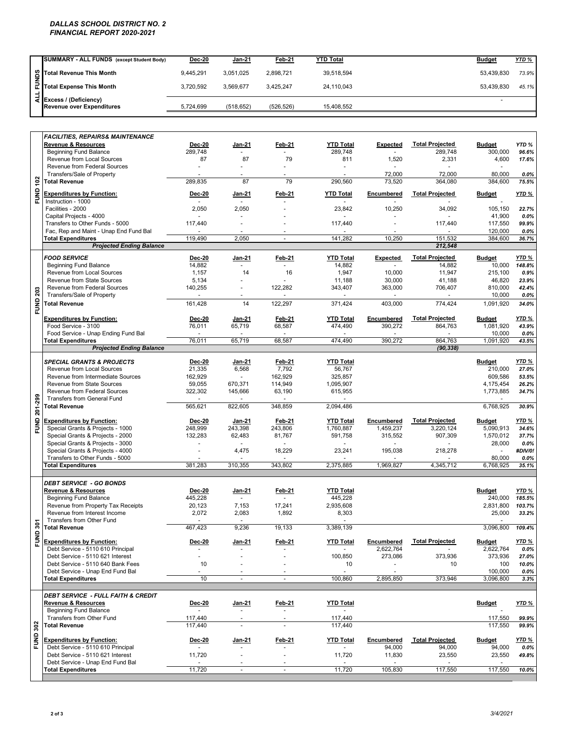#### *DALLAS SCHOOL DISTRICT NO. 2 FINANCIAL REPORT 2020-2021*

|   | SUMMARY - ALL FUNDS (except Student Body)                        | Dec-20    | <b>Jan-21</b> | Feb-21     | <b>YTD Total</b> | <b>Budget</b> | <u>YTD %</u> |
|---|------------------------------------------------------------------|-----------|---------------|------------|------------------|---------------|--------------|
|   |                                                                  | 9,445,291 | 3.051.025     | 2.898.721  | 39.518.594       | 53.439.830    | 73.9%        |
| ÷ | Soll Total Revenue This Month<br>Ell<br>Total Expense This Month | 3,720,592 | 3.569.677     | 3.425.247  | 24,110,043       | 53.439.830    | 45.1%        |
|   | 국 Excess / (Deficiency)<br>Revenue over Expenditures             | 5,724,699 | (518, 652)    | (526, 526) | 15.408.552       |               |              |

|                 | Total Revenue This Month                                                  | 9,445,291          | 3,051,025                                  | 2,898,721                | 39,518,594                    |                         |                                     | 53,439,830                         | 73.9%              |
|-----------------|---------------------------------------------------------------------------|--------------------|--------------------------------------------|--------------------------|-------------------------------|-------------------------|-------------------------------------|------------------------------------|--------------------|
| FUNDS           | <b>Total Expense This Month</b>                                           | 3,720,592          | 3,569,677                                  | 3,425,247                | 24,110,043                    |                         |                                     | 53,439,830                         | 45.1%              |
| $\frac{1}{2}$   |                                                                           |                    |                                            |                          |                               |                         |                                     |                                    |                    |
|                 | Excess / (Deficiency)<br><b>Revenue over Expenditures</b>                 | 5,724,699          | (518, 652)                                 | (526, 526)               | 15,408,552                    |                         |                                     | ÷.                                 |                    |
|                 |                                                                           |                    |                                            |                          |                               |                         |                                     |                                    |                    |
|                 |                                                                           |                    |                                            |                          |                               |                         |                                     |                                    |                    |
|                 | <b>FACILITIES, REPAIRS&amp; MAINTENANCE</b>                               |                    |                                            |                          |                               |                         |                                     |                                    |                    |
|                 | <b>Revenue &amp; Resources</b>                                            | <b>Dec-20</b>      | Jan-21                                     | Feb-21                   | <b>YTD Total</b>              | <b>Expected</b>         | <b>Total Projected</b>              | <b>Budget</b>                      | YTD <sub>%</sub>   |
|                 | <b>Beginning Fund Balance</b>                                             | 289,748            | $\sim$                                     | $\sim$                   | 289,748                       | $\sim$                  | 289,748                             | 300,000                            | 96.6%              |
|                 | Revenue from Local Sources<br>Revenue from Federal Sources                | 87                 | 87                                         | 79                       | 811                           | 1,520                   | 2,331                               | 4,600<br>$\sim$                    | 17.6%              |
|                 | Transfers/Sale of Property                                                |                    | ÷.                                         | $\sim$                   |                               | 72,000                  | 72,000                              | 80,000                             | 0.0%               |
|                 | <b>Total Revenue</b>                                                      | 289,835            | 87                                         | 79                       | 290,560                       | 73,520                  | 364,080                             | 384,600                            | 75.5%              |
| <b>FUND 102</b> | <b>Expenditures by Function:</b>                                          | Dec-20             | <u>Jan-21</u>                              | <b>Feb-21</b>            | <b>YTD Total</b>              | Encumbered              | <b>Total Projected</b>              | <b>Budget</b>                      | YTD %              |
|                 | Instruction - 1000                                                        |                    | $\overline{\phantom{a}}$                   |                          |                               |                         |                                     |                                    |                    |
|                 | Facilities - 2000                                                         | 2,050              | 2,050                                      |                          | 23,842                        | 10,250                  | 34,092                              | 105,150                            | 22.7%              |
|                 | Capital Projects - 4000<br>Transfers to Other Funds - 5000                | 117,440            | $\overline{\phantom{a}}$                   |                          | 117,440                       |                         | 117,440                             | 41,900<br>117,550                  | $0.0\%$<br>99.9%   |
|                 | Fac, Rep and Maint - Unap End Fund Bal                                    |                    |                                            |                          |                               |                         |                                     | 120,000                            | $0.0\%$            |
|                 | <b>Total Expenditures</b>                                                 | 119,490            | 2,050                                      | $\overline{\phantom{a}}$ | 141,282                       | 10,250                  | 151,532                             | 384,600                            | 36.7%              |
|                 | <b>Projected Ending Balance</b>                                           |                    |                                            |                          |                               |                         | 212,548                             |                                    |                    |
|                 | <b>FOOD SERVICE</b>                                                       | <b>Dec-20</b>      | Jan-21                                     | Feb-21                   | <b>YTD Total</b>              | <b>Expected</b>         | <b>Total Projected</b>              | <b>Budget</b>                      | YTD %              |
|                 | <b>Beginning Fund Balance</b><br>Revenue from Local Sources               | 14,882<br>1,157    | $\sim$<br>14                               | $\sim$<br>16             | 14,882<br>1,947               | 10,000                  | 14,882<br>11,947                    | 10,000<br>215,100                  | 148.8%<br>0.9%     |
|                 | Revenue from State Sources                                                | 5,134              |                                            |                          | 11,188                        | 30,000                  | 41,188                              | 46,820                             | 23.9%              |
|                 | Revenue from Federal Sources                                              | 140,255            | ÷,                                         | 122,282                  | 343,407                       | 363,000                 | 706,407                             | 810,000                            | 42.4%              |
|                 | Transfers/Sale of Property                                                | $\sim$             | $\sim$                                     |                          |                               |                         |                                     | 10,000                             | $0.0\%$            |
| <b>FUND 203</b> | <b>Total Revenue</b>                                                      | 161,428            | 14                                         | 122,297                  | 371,424                       | 403,000                 | 774,424                             | 1,091,920                          | 34.0%              |
|                 | <b>Expenditures by Function:</b>                                          | <b>Dec-20</b>      | Jan-21                                     | Feb-21                   | <b>YTD Total</b>              | Encumbered              | <b>Total Projected</b>              | <b>Budget</b>                      | YTD %              |
|                 | Food Service - 3100                                                       | 76,011             | 65,719                                     | 68,587                   | 474,490                       | 390,272                 | 864,763                             | 1.081.920                          | 43.9%              |
|                 | Food Service - Unap Ending Fund Bal                                       | 76,011             | 65,719                                     | 68,587                   | 474,490                       | 390,272                 | 864,763                             | 10,000<br>1,091,920                | $0.0\%$<br>43.5%   |
|                 | <b>Total Expenditures</b><br><b>Projected Ending Balance</b>              |                    |                                            |                          |                               |                         | (90, 338)                           |                                    |                    |
|                 |                                                                           |                    |                                            |                          |                               |                         |                                     |                                    |                    |
|                 | <b>SPECIAL GRANTS &amp; PROJECTS</b><br>Revenue from Local Sources        | Dec-20<br>21,335   | Jan-21<br>6,568                            | Feb-21<br>7,792          | <b>YTD Total</b><br>56,767    |                         |                                     | <b>Budget</b><br>210,000           | YTD %<br>27.0%     |
|                 | Revenue from Intermediate Sources                                         | 162,929            |                                            | 162,929                  | 325,857                       |                         |                                     | 609,586                            | 53.5%              |
|                 | Revenue from State Sources                                                | 59,055             | 670,371                                    | 114,949                  | 1,095,907                     |                         |                                     | 4,175,454                          | 26.2%              |
|                 | <b>Revenue from Federal Sources</b><br><b>Transfers from General Fund</b> | 322,302            | 145,666                                    | 63,190                   | 615,955                       |                         |                                     | 1,773,885                          | 34.7%              |
| FUND 201-299    | <b>Total Revenue</b>                                                      | 565,621            | 822,605                                    | 348,859                  | 2,094,486                     |                         |                                     | 6,768,925                          | 30.9%              |
|                 |                                                                           |                    |                                            |                          |                               |                         |                                     |                                    |                    |
|                 | <b>Expenditures by Function:</b><br>Special Grants & Projects - 1000      | Dec-20<br>248,999  | Jan-21<br>243,398                          | Feb-21<br>243,806        | <b>YTD Total</b><br>1,760,887 | Encumbered<br>1,459,237 | <b>Total Projected</b><br>3.220.124 | <b>Budget</b><br>5,090,913         | YTD %<br>34.6%     |
|                 | Special Grants & Projects - 2000                                          | 132,283            | 62,483                                     | 81,767                   | 591,758                       | 315,552                 | 907,309                             | 1,570,012                          | 37.7%              |
|                 | Special Grants & Projects - 3000                                          |                    |                                            |                          |                               |                         |                                     | 28,000                             | $0.0\%$            |
|                 | Special Grants & Projects - 4000<br>Transfers to Other Funds - 5000       |                    | 4,475                                      | 18,229                   | 23,241                        | 195,038                 | 218,278                             | $\overline{\phantom{a}}$<br>80,000 | #DIV/0!<br>$0.0\%$ |
|                 | <b>Total Expenditures</b>                                                 | 381,283            | 310,355                                    | 343,802                  | 2,375,885                     | 1,969,827               | 4,345,712                           | 6,768,925                          | 35.1%              |
|                 |                                                                           |                    |                                            |                          |                               |                         |                                     |                                    |                    |
|                 | <b>DEBT SERVICE - GO BONDS</b>                                            |                    |                                            |                          |                               |                         |                                     |                                    |                    |
|                 | Revenue & Resources                                                       | Dec-20             | <u>Jan-21</u>                              | Feb-21                   | <b>YTD Total</b>              |                         |                                     | <b>Budget</b>                      | YTD %              |
|                 | <b>Beginning Fund Balance</b><br>Revenue from Property Tax Receipts       | 445,228<br>20,123  | $\mathbf{r}$<br>7,153                      | $\sim$<br>17,241         | 445,228<br>2,935,608          |                         |                                     | 240,000<br>2,831,800               | 185.5%<br>103.7%   |
|                 | Revenue from Interest Income                                              | 2,072              | 2,083                                      | 1,892                    | 8,303                         |                         |                                     | 25,000                             | 33.2%              |
| $\tilde{5}$     | Transfers from Other Fund                                                 |                    | $\omega$                                   |                          | ÷.                            |                         |                                     |                                    |                    |
|                 | <b>Total Revenue</b>                                                      | 467,423            | 9,236                                      | 19,133                   | 3,389,139                     |                         |                                     | 3,096,800                          | 109.4%             |
| FUND            | <b>Expenditures by Function:</b>                                          | <b>Dec-20</b>      | Jan-21                                     | <u>Feb-21</u>            | <b>YTD Total</b>              | Encumbered              | <b>Total Projected</b>              | <b>Budget</b>                      | YTD %              |
|                 | Debt Service - 5110 610 Principal                                         |                    |                                            |                          |                               | 2,622,764               |                                     | 2,622,764                          | $0.0\%$            |
|                 | Debt Service - 5110 621 Interest<br>Debt Service - 5110 640 Bank Fees     | 10                 | $\ddot{\phantom{1}}$                       | $\sim$                   | 100,850<br>10                 | 273,086                 | 373,936<br>10                       | 373,936<br>100                     | 27.0%<br>10.0%     |
|                 | Debt Service - Unap End Fund Bal                                          |                    | $\sim$                                     | $\blacksquare$           | $\blacksquare$                |                         |                                     | 100,000                            | $0.0\%$            |
|                 | <b>Total Expenditures</b>                                                 | 10                 | $\overline{a}$                             | ÷                        | 100,860                       | 2,895,850               | 373,946                             | 3,096,800                          | 3.3%               |
|                 | <b>DEBT SERVICE - FULL FAITH &amp; CREDIT</b>                             |                    |                                            |                          |                               |                         |                                     |                                    |                    |
|                 | <b>Revenue &amp; Resources</b>                                            | Dec-20             | Jan-21                                     | Feb-21                   | <b>YTD Total</b>              |                         |                                     | <b>Budget</b>                      | YTD %              |
|                 | <b>Beginning Fund Balance</b>                                             | $\sim$             | $\blacksquare$                             | $\blacksquare$           | $\mathcal{L}^{\mathcal{A}}$   |                         |                                     |                                    |                    |
|                 | Transfers from Other Fund<br><b>Total Revenue</b>                         | 117,440<br>117,440 | $\overline{\phantom{a}}$<br>$\overline{a}$ | ÷.                       | 117,440<br>117,440            |                         |                                     | 117,550<br>117,550                 | 99.9%<br>99.9%     |
| <b>FUND 302</b> |                                                                           |                    |                                            |                          |                               |                         |                                     |                                    |                    |
|                 | <b>Expenditures by Function:</b>                                          | Dec-20             | <u>Jan-21</u>                              | Feb-21                   | YTD Total                     | Encumbered              | <b>Total Projected</b>              | <b>Budget</b>                      | <b>YTD %</b>       |
|                 | Debt Service - 5110 610 Principal<br>Debt Service - 5110 621 Interest     |                    | ÷,                                         | $\overline{\phantom{a}}$ |                               | 94,000                  | 94,000                              | 94,000<br>23,550                   | $0.0\%$            |
|                 | Debt Service - Unap End Fund Bal                                          | 11,720             |                                            | $\blacksquare$           | 11,720                        | 11,830                  | 23,550                              |                                    | 49.8%              |
|                 | <b>Total Expenditures</b>                                                 | 11,720             | $\overline{a}$                             | $\overline{a}$           | 11,720                        | 105,830                 | 117,550                             | 117,550                            | 10.0%              |
|                 |                                                                           |                    |                                            |                          |                               |                         |                                     |                                    |                    |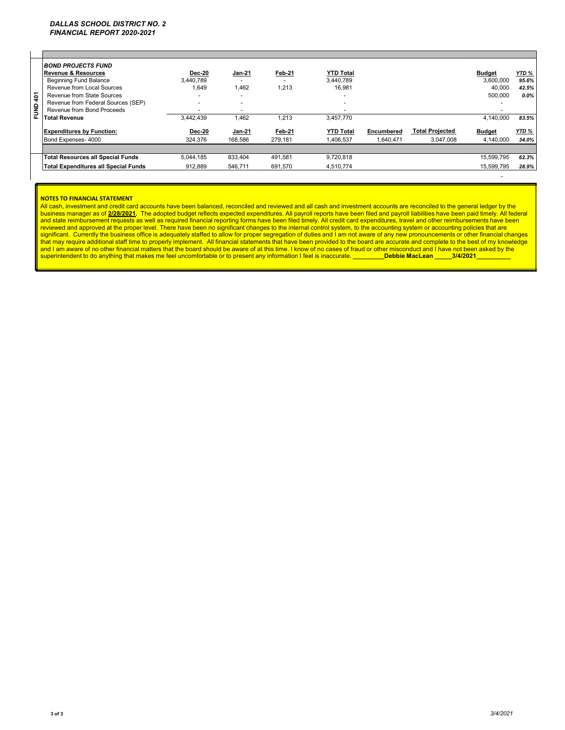| <b>BOND PROJECTS FUND</b><br>Revenue & Resources<br><b>Beginning Fund Balance</b><br>Revenue from Local Sources<br>Revenue from State Sources<br>Revenue from Federal Sources (SEP)<br>Revenue from Bond Proceeds<br><b>Total Revenue</b> | Dec-20<br>3.440.789<br>1.649<br>۰<br>۰<br>3.442.439 | <b>Jan-21</b><br>1.462<br>1,462 | Feb-21<br>1,213<br>1,213 | <b>YTD Total</b><br>3.440.789<br>16.981<br>$\overline{a}$<br>3.457.770 |                         |                                     | <b>Budget</b><br>3.600.000<br>40,000<br>500,000<br>4.140.000 | $YTD \%$<br>95.6%<br>42.5%<br>$0.0\%$<br>83.5% |
|-------------------------------------------------------------------------------------------------------------------------------------------------------------------------------------------------------------------------------------------|-----------------------------------------------------|---------------------------------|--------------------------|------------------------------------------------------------------------|-------------------------|-------------------------------------|--------------------------------------------------------------|------------------------------------------------|
| <b>Expenditures by Function:</b><br>Bond Expenses- 4000                                                                                                                                                                                   | Dec-20<br>324.376                                   | <b>Jan-21</b><br>168.586        | Feb-21<br>279.181        | <b>YTD Total</b><br>1.406.537                                          | Encumbered<br>1.640.471 | <b>Total Proiected</b><br>3.047.008 | <b>Budget</b><br>4.140.000                                   | YTD %<br>34.0%                                 |
|                                                                                                                                                                                                                                           |                                                     |                                 |                          |                                                                        |                         |                                     |                                                              |                                                |
| <b>Total Resources all Special Funds</b>                                                                                                                                                                                                  | 5.044.185                                           | 833,404                         | 491.581                  | 9.720.818                                                              |                         |                                     | 15.599.795                                                   | 62.3%                                          |
| Total Expenditures all Special Funds                                                                                                                                                                                                      | 912,889                                             | 546,711                         | 691,570                  | 4,510,774                                                              |                         |                                     | 15.599.795                                                   | 28.9%                                          |
|                                                                                                                                                                                                                                           |                                                     |                                 |                          |                                                                        |                         |                                     |                                                              |                                                |

#### **NOTES TO FINANCIAL STATEMENT**

All cash, investment and credit card accounts have been balanced, reconciled and reviewed and all cash and investment accounts are reconciled to the general ledger by the business manager as of 2/28/2021. The adopted budget reflects expected expenditures. All payroll reports have been filed and payroll liabilities have been paid timely. All federal<br>and state reimbursement requests as well a superintendent to do anything that makes me feel uncomfortable or to present any information I feel is inaccurate. **\_\_\_\_\_\_\_\_\_\_\_Debbie MacLean \_\_\_\_\_3/4/2021** 

- 1990 - 1990 - 1990 - 1990 - 1990 - 1990 - 1990 - 1990 - 1990 - 1990 - 1990 - 1990 - 1990 - 1990 - 1990 - 199